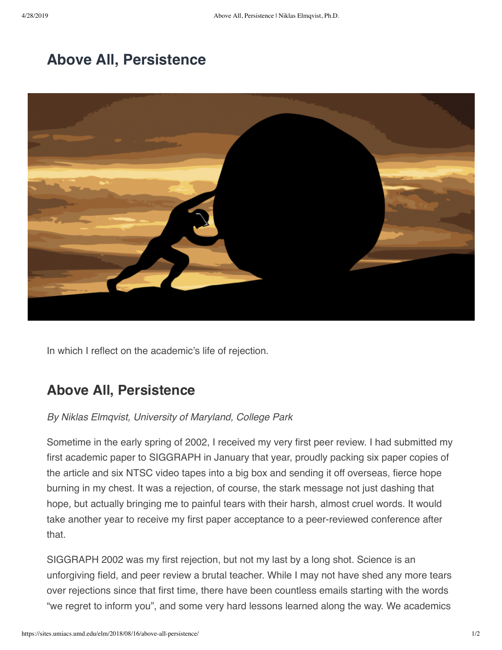# **[Above All, Persistence](https://sites.umiacs.umd.edu/elm/2018/08/16/above-all-persistence/)**



In which I reflect on the academic's life of rejection.

## **Above All, Persistence**

### *By Niklas Elmqvist, University of Maryland, College Park*

Sometime in the early spring of 2002, I received my very first peer review. I had submitted my first academic paper to SIGGRAPH in January that year, proudly packing six paper copies of the article and six NTSC video tapes into a big box and sending it off overseas, fierce hope burning in my chest. It was a rejection, of course, the stark message not just dashing that hope, but actually bringing me to painful tears with their harsh, almost cruel words. It would take another year to receive my first paper acceptance to a peer-reviewed conference after that.

SIGGRAPH 2002 was my first rejection, but not my last by a long shot. Science is an unforgiving field, and peer review a brutal teacher. While I may not have shed any more tears over rejections since that first time, there have been countless emails starting with the words "we regret to inform you", and some very hard lessons learned along the way. We academics